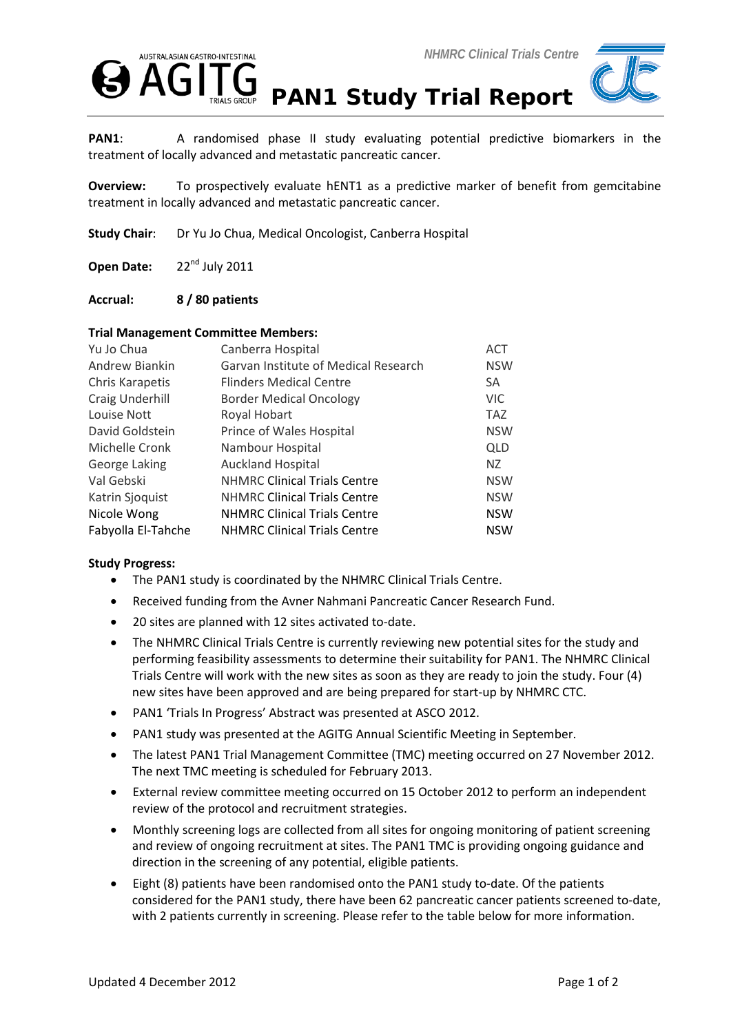



PAN1: A randomised phase II study evaluating potential predictive biomarkers in the treatment of locally advanced and metastatic pancreatic cancer.

**Overview:** To prospectively evaluate hENT1 as a predictive marker of benefit from gemcitabine treatment in locally advanced and metastatic pancreatic cancer.

**Study Chair**: Dr Yu Jo Chua, Medical Oncologist, Canberra Hospital

Open Date: 22<sup>nd</sup> July 2011

## **Accrual: 8 / 80 patients**

## **Trial Management Committee Members:**

| Yu Jo Chua         | Canberra Hospital                    | <b>ACT</b> |
|--------------------|--------------------------------------|------------|
| Andrew Biankin     | Garvan Institute of Medical Research | <b>NSW</b> |
| Chris Karapetis    | <b>Flinders Medical Centre</b>       | <b>SA</b>  |
| Craig Underhill    | <b>Border Medical Oncology</b>       | <b>VIC</b> |
| Louise Nott        | Royal Hobart                         | <b>TAZ</b> |
| David Goldstein    | Prince of Wales Hospital             | <b>NSW</b> |
| Michelle Cronk     | Nambour Hospital                     | <b>QLD</b> |
| George Laking      | <b>Auckland Hospital</b>             | NZ.        |
| Val Gebski         | <b>NHMRC Clinical Trials Centre</b>  | <b>NSW</b> |
| Katrin Sjoquist    | <b>NHMRC Clinical Trials Centre</b>  | <b>NSW</b> |
| Nicole Wong        | <b>NHMRC Clinical Trials Centre</b>  | <b>NSW</b> |
| Fabyolla El-Tahche | <b>NHMRC Clinical Trials Centre</b>  | <b>NSW</b> |

## **Study Progress:**

- The PAN1 study is coordinated by the NHMRC Clinical Trials Centre.
- Received funding from the Avner Nahmani Pancreatic Cancer Research Fund.
- 20 sites are planned with 12 sites activated to-date.
- The NHMRC Clinical Trials Centre is currently reviewing new potential sites for the study and performing feasibility assessments to determine their suitability for PAN1. The NHMRC Clinical Trials Centre will work with the new sites as soon as they are ready to join the study. Four (4) new sites have been approved and are being prepared for start-up by NHMRC CTC.
- PAN1 'Trials In Progress' Abstract was presented at ASCO 2012.
- PAN1 study was presented at the AGITG Annual Scientific Meeting in September.
- The latest PAN1 Trial Management Committee (TMC) meeting occurred on 27 November 2012. The next TMC meeting is scheduled for February 2013.
- External review committee meeting occurred on 15 October 2012 to perform an independent review of the protocol and recruitment strategies.
- Monthly screening logs are collected from all sites for ongoing monitoring of patient screening and review of ongoing recruitment at sites. The PAN1 TMC is providing ongoing guidance and direction in the screening of any potential, eligible patients.
- Eight (8) patients have been randomised onto the PAN1 study to-date. Of the patients considered for the PAN1 study, there have been 62 pancreatic cancer patients screened to-date, with 2 patients currently in screening. Please refer to the table below for more information.